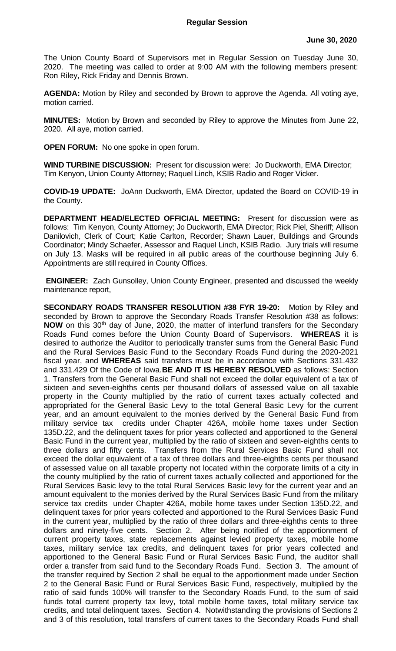The Union County Board of Supervisors met in Regular Session on Tuesday June 30, 2020. The meeting was called to order at 9:00 AM with the following members present: Ron Riley, Rick Friday and Dennis Brown.

**AGENDA:** Motion by Riley and seconded by Brown to approve the Agenda. All voting aye, motion carried.

**MINUTES:** Motion by Brown and seconded by Riley to approve the Minutes from June 22, 2020. All aye, motion carried.

**OPEN FORUM:** No one spoke in open forum.

**WIND TURBINE DISCUSSION:** Present for discussion were: Jo Duckworth, EMA Director; Tim Kenyon, Union County Attorney; Raquel Linch, KSIB Radio and Roger Vicker.

**COVID-19 UPDATE:** JoAnn Duckworth, EMA Director, updated the Board on COVID-19 in the County.

**DEPARTMENT HEAD/ELECTED OFFICIAL MEETING:** Present for discussion were as follows: Tim Kenyon, County Attorney; Jo Duckworth, EMA Director; Rick Piel, Sheriff; Allison Danilovich, Clerk of Court; Katie Carlton, Recorder; Shawn Lauer, Buildings and Grounds Coordinator; Mindy Schaefer, Assessor and Raquel Linch, KSIB Radio. Jury trials will resume on July 13. Masks will be required in all public areas of the courthouse beginning July 6. Appointments are still required in County Offices.

**ENGINEER:** Zach Gunsolley, Union County Engineer, presented and discussed the weekly maintenance report,

**SECONDARY ROADS TRANSFER RESOLUTION #38 FYR 19-20:** Motion by Riley and seconded by Brown to approve the Secondary Roads Transfer Resolution #38 as follows: **NOW** on this 30<sup>th</sup> day of June, 2020, the matter of interfund transfers for the Secondary Roads Fund comes before the Union County Board of Supervisors. **WHEREAS** it is desired to authorize the Auditor to periodically transfer sums from the General Basic Fund and the Rural Services Basic Fund to the Secondary Roads Fund during the 2020-2021 fiscal year, and **WHEREAS** said transfers must be in accordance with Sections 331.432 and 331.429 Of the Code of Iowa.**BE AND IT IS HEREBY RESOLVED** as follows: Section 1. Transfers from the General Basic Fund shall not exceed the dollar equivalent of a tax of sixteen and seven-eighths cents per thousand dollars of assessed value on all taxable property in the County multiplied by the ratio of current taxes actually collected and appropriated for the General Basic Levy to the total General Basic Levy for the current year, and an amount equivalent to the monies derived by the General Basic Fund from military service tax credits under Chapter 426A, mobile home taxes under Section 135D.22, and the delinquent taxes for prior years collected and apportioned to the General Basic Fund in the current year, multiplied by the ratio of sixteen and seven-eighths cents to three dollars and fifty cents. Transfers from the Rural Services Basic Fund shall not exceed the dollar equivalent of a tax of three dollars and three-eighths cents per thousand of assessed value on all taxable property not located within the corporate limits of a city in the county multiplied by the ratio of current taxes actually collected and apportioned for the Rural Services Basic levy to the total Rural Services Basic levy for the current year and an amount equivalent to the monies derived by the Rural Services Basic Fund from the military service tax credits under Chapter 426A, mobile home taxes under Section 135D.22, and delinquent taxes for prior years collected and apportioned to the Rural Services Basic Fund in the current year, multiplied by the ratio of three dollars and three-eighths cents to three dollars and ninety-five cents. Section 2. After being notified of the apportionment of current property taxes, state replacements against levied property taxes, mobile home taxes, military service tax credits, and delinquent taxes for prior years collected and apportioned to the General Basic Fund or Rural Services Basic Fund, the auditor shall order a transfer from said fund to the Secondary Roads Fund. Section 3. The amount of the transfer required by Section 2 shall be equal to the apportionment made under Section 2 to the General Basic Fund or Rural Services Basic Fund, respectively, multiplied by the ratio of said funds 100% will transfer to the Secondary Roads Fund, to the sum of said funds total current property tax levy, total mobile home taxes, total military service tax credits, and total delinquent taxes. Section 4. Notwithstanding the provisions of Sections 2 and 3 of this resolution, total transfers of current taxes to the Secondary Roads Fund shall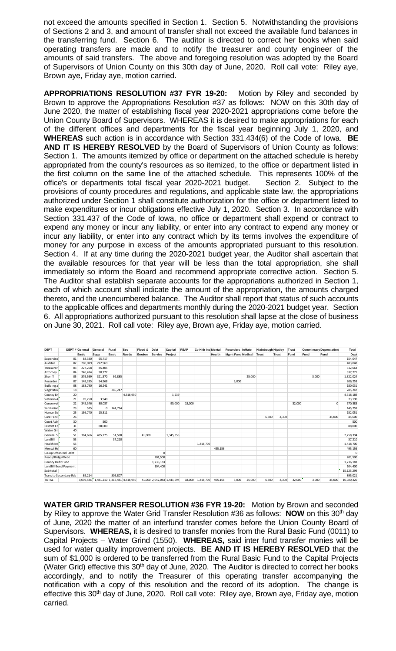not exceed the amounts specified in Section 1. Section 5. Notwithstanding the provisions of Sections 2 and 3, and amount of transfer shall not exceed the available fund balances in the transferring fund. Section 6. The auditor is directed to correct her books when said operating transfers are made and to notify the treasurer and county engineer of the amounts of said transfers. The above and foregoing resolution was adopted by the Board of Supervisors of Union County on this 30th day of June, 2020. Roll call vote: Riley aye, Brown aye, Friday aye, motion carried.

**APPROPRIATIONS RESOLUTION #37 FYR 19-20:** Motion by Riley and seconded by Brown to approve the Appropriations Resolution #37 as follows: NOW on this 30th day of June 2020, the matter of establishing fiscal year 2020-2021 appropriations come before the Union County Board of Supervisors. WHEREAS it is desired to make appropriations for each of the different offices and departments for the fiscal year beginning July 1, 2020, and **WHEREAS** such action is in accordance with Section 331.434(6) of the Code of Iowa. **BE AND IT IS HEREBY RESOLVED** by the Board of Supervisors of Union County as follows: Section 1. The amounts itemized by office or department on the attached schedule is hereby appropriated from the county's resources as so itemized, to the office or department listed in the first column on the same line of the attached schedule. This represents 100% of the office's or departments total fiscal year 2020-2021 budget. Section 2. Subject to the provisions of county procedures and regulations, and applicable state law, the appropriations authorized under Section 1 shall constitute authorization for the office or department listed to make expenditures or incur obligations effective July 1, 2020. Section 3. In accordance with Section 331.437 of the Code of Iowa, no office or department shall expend or contract to expend any money or incur any liability, or enter into any contract to expend any money or incur any liability, or enter into any contract which by its terms involves the expenditure of money for any purpose in excess of the amounts appropriated pursuant to this resolution. Section 4. If at any time during the 2020-2021 budget year, the Auditor shall ascertain that the available resources for that year will be less than the total appropriation, she shall immediately so inform the Board and recommend appropriate corrective action. Section 5. The Auditor shall establish separate accounts for the appropriations authorized in Section 1, each of which account shall indicate the amount of the appropriation, the amounts charged thereto, and the unencumbered balance. The Auditor shall report that status of such accounts to the applicable offices and departments monthly during the 2020-2021 budget year. Section 6. All appropriations authorized pursuant to this resolution shall lapse at the close of business on June 30, 2021. Roll call vote: Riley aye, Brown aye, Friday aye, motion carried.

| <b>DEPT</b>            |    | DEPT # General | General                                 | Rural        | Sec       | Flood & | Debt                       | Capital   | <b>REAP</b> | Co Hith Ins Mental |         | Recorders InMate         |        | <b>Hixinbaugh Hipsley</b> |              | Trust  |       | <b>Comminsary Depreciation</b> | Total        |
|------------------------|----|----------------|-----------------------------------------|--------------|-----------|---------|----------------------------|-----------|-------------|--------------------|---------|--------------------------|--------|---------------------------|--------------|--------|-------|--------------------------------|--------------|
|                        |    | <b>Basic</b>   | Supp                                    | <b>Basic</b> | Roads     | Erosion | <b>Service</b>             | Project   |             |                    | Health  | <b>Mgmt Fund Medical</b> |        | Trust                     | <b>Trust</b> | Fund   | Fund  | Fund                           | Dept         |
| Superviso              | 01 | 88,330         | 65,717                                  |              |           |         |                            |           |             |                    |         |                          |        |                           |              |        |       |                                | 154,047      |
| Auditor                | 02 | 260,079        | 222.969                                 |              |           |         |                            |           |             |                    |         |                          |        |                           |              |        |       |                                | 483,048      |
| Treasurer              | 03 | 227,258        | 85,405                                  |              |           |         |                            |           |             |                    |         |                          |        |                           |              |        |       |                                | 312,663      |
| Attorney               | 04 | 246,494        | 90.777                                  |              |           |         |                            |           |             |                    |         |                          |        |                           |              |        |       |                                | 337,271      |
| Sheriff                | 05 | 879,569        | 321,570                                 | 92.885       |           |         |                            |           |             |                    |         |                          | 25,000 |                           |              |        | 3,000 |                                | 1,322,024    |
| Recorder               | 07 | 148,285        | 54,968                                  |              |           |         |                            |           |             |                    |         | 3,000                    |        |                           |              |        |       |                                | 206,253      |
| Building a             | 08 | 163,790        | 16,241                                  |              |           |         |                            |           |             |                    |         |                          |        |                           |              |        |       |                                | 180,031      |
| Vegatatio              | 18 |                |                                         | 285,247      |           |         |                            |           |             |                    |         |                          |        |                           |              |        |       |                                | 285,247      |
| County En              | 20 |                |                                         |              | 4,516,950 |         |                            | 1,239     |             |                    |         |                          |        |                           |              |        |       |                                | 4,518,189    |
| Veteran A              | 21 | 69,250         | 3,940                                   |              |           |         |                            |           |             |                    |         |                          |        |                           |              |        |       |                                | 73,190       |
| Conservat              | 22 | 345,346        | 80,037                                  |              |           |         |                            | 95,000    | 18,000      |                    |         |                          |        |                           |              | 32,000 |       | $\Omega$                       | 570,383      |
| Sanitarian             | 23 | 525            | $\mathbf{0}$                            | 144,734      |           |         |                            |           |             |                    |         |                          |        |                           |              |        |       |                                | 145,259      |
| Human Se               | 25 | 136,740        | 15,311                                  |              |           |         |                            |           |             |                    |         |                          |        |                           |              |        |       |                                | 152,051      |
| Care Facili            | 26 |                |                                         |              |           |         |                            |           |             |                    |         |                          |        | 6,300                     | 4,300        |        |       | 35,000                         | 45,600       |
| Court Adn              | 30 |                | 500                                     |              |           |         |                            |           |             |                    |         |                          |        |                           |              |        |       |                                | 500          |
| District Co            | 31 |                | 88,000                                  |              |           |         |                            |           |             |                    |         |                          |        |                           |              |        |       |                                | 88,000       |
| Water Gri              | 40 |                |                                         |              |           |         |                            |           |             |                    |         |                          |        |                           |              |        |       |                                |              |
| General So             | 51 | 384,666        | 435,775                                 | 51,598       |           | 41,000  |                            | 1,345,355 |             |                    |         |                          |        |                           |              |        |       |                                | 2,258,394    |
| Landfill               | 53 |                |                                         | 37,210       |           |         |                            |           |             |                    |         |                          |        |                           |              |        |       |                                | 37,210       |
| Health Ins             | 55 |                |                                         |              |           |         |                            |           |             | 1,418,700          |         |                          |        |                           |              |        |       |                                | 1,418,700    |
| Mental He              | 60 |                |                                         |              |           |         |                            |           |             |                    | 495,156 |                          |        |                           |              |        |       |                                | 495,156      |
| Co-op Urban Rnl Debt   |    |                |                                         |              |           |         | $\mathbf 0$                |           |             |                    |         |                          |        |                           |              |        |       |                                | $\Omega$     |
| Roads/Brdgs/Debt       |    |                |                                         |              |           |         | 201.500                    |           |             |                    |         |                          |        |                           |              |        |       |                                | 201,500      |
| County Debt Fund       |    |                |                                         |              |           |         | 1,736,183                  |           |             |                    |         |                          |        |                           |              |        |       |                                | 1,736,183    |
| Landfill Bond Payment  |    |                |                                         |              |           |         | 104,400                    |           |             |                    |         |                          |        |                           |              |        |       |                                | 104,400      |
| Sub total              |    |                |                                         |              |           |         |                            |           |             |                    |         |                          |        |                           |              |        |       |                                | 15, 125, 299 |
| Trans to Secondary Rds |    | 89,214         |                                         | 805,807      |           |         |                            |           |             |                    |         |                          |        |                           |              |        |       |                                | 895,021      |
| <b>TOTAL</b>           |    |                | 3,039,546 1,481,210 1,417,481 4,516,950 |              |           |         | 41,000 2,042,083 1,441,594 |           |             | 18,000 1,418,700   | 495,156 | 3,000                    | 25,000 | 6,300                     | 4,300        | 32,000 | 3,000 | 35,000                         | 16,020,320   |

**WATER GRID TRANSFER RESOLUTION #36 FYR 19-20:** Motion by Brown and seconded by Riley to approve the Water Grid Transfer Resolution #36 as follows: **NOW** on this 30th day of June, 2020 the matter of an interfund transfer comes before the Union County Board of Supervisors. **WHEREAS,** it is desired to transfer monies from the Rural Basic Fund (0011) to Capital Projects – Water Grind (1550). **WHEREAS,** said inter fund transfer monies will be used for water quality improvement projects. **BE AND IT IS HEREBY RESOLVED** that the sum of \$1,000 is ordered to be transferred from the Rural Basic Fund to the Capital Projects (Water Grid) effective this 30<sup>th</sup> day of June, 2020. The Auditor is directed to correct her books accordingly, and to notify the Treasurer of this operating transfer accompanying the notification with a copy of this resolution and the record of its adoption. The change is effective this 30<sup>th</sup> day of June, 2020. Roll call vote: Riley aye, Brown aye, Friday aye, motion carried.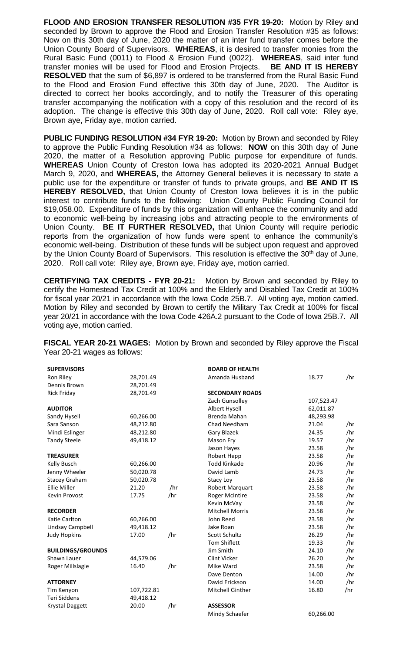**FLOOD AND EROSION TRANSFER RESOLUTION #35 FYR 19-20:** Motion by Riley and seconded by Brown to approve the Flood and Erosion Transfer Resolution #35 as follows: Now on this 30th day of June, 2020 the matter of an inter fund transfer comes before the Union County Board of Supervisors. **WHEREAS**, it is desired to transfer monies from the Rural Basic Fund (0011) to Flood & Erosion Fund (0022). **WHEREAS**, said inter fund transfer monies will be used for Flood and Erosion Projects. **BE AND IT IS HEREBY RESOLVED** that the sum of \$6,897 is ordered to be transferred from the Rural Basic Fund to the Flood and Erosion Fund effective this 30th day of June, 2020. The Auditor is directed to correct her books accordingly, and to notify the Treasurer of this operating transfer accompanying the notification with a copy of this resolution and the record of its adoption. The change is effective this 30th day of June, 2020. Roll call vote: Riley aye, Brown aye, Friday aye, motion carried.

**PUBLIC FUNDING RESOLUTION #34 FYR 19-20:** Motion by Brown and seconded by Riley to approve the Public Funding Resolution #34 as follows: **NOW** on this 30th day of June 2020, the matter of a Resolution approving Public purpose for expenditure of funds. **WHEREAS** Union County of Creston Iowa has adopted its 2020-2021 Annual Budget March 9, 2020, and **WHEREAS,** the Attorney General believes it is necessary to state a public use for the expenditure or transfer of funds to private groups, and **BE AND IT IS HEREBY RESOLVED,** that Union County of Creston Iowa believes it is in the public interest to contribute funds to the following: Union County Public Funding Council for \$19,058.00. Expenditure of funds by this organization will enhance the community and add to economic well-being by increasing jobs and attracting people to the environments of Union County. **BE IT FURTHER RESOLVED,** that Union County will require periodic reports from the organization of how funds were spent to enhance the community's economic well-being. Distribution of these funds will be subject upon request and approved by the Union County Board of Supervisors. This resolution is effective the 30<sup>th</sup> day of June, 2020. Roll call vote: Riley aye, Brown aye, Friday aye, motion carried.

**CERTIFYING TAX CREDITS - FYR 20-21:** Motion by Brown and seconded by Riley to certify the Homestead Tax Credit at 100% and the Elderly and Disabled Tax Credit at 100% for fiscal year 20/21 in accordance with the Iowa Code 25B.7. All voting aye, motion carried. Motion by Riley and seconded by Brown to certify the Military Tax Credit at 100% for fiscal year 20/21 in accordance with the Iowa Code 426A.2 pursuant to the Code of Iowa 25B.7. All voting aye, motion carried.

**FISCAL YEAR 20-21 WAGES:** Motion by Brown and seconded by Riley approve the Fiscal Year 20-21 wages as follows:

| <b>SUPERVISORS</b>       |            |     | <b>BOARD OF HEALTH</b> |            |     |  |  |
|--------------------------|------------|-----|------------------------|------------|-----|--|--|
| Ron Riley                | 28,701.49  |     | Amanda Husband         | 18.77      | /hr |  |  |
| Dennis Brown             | 28,701.49  |     |                        |            |     |  |  |
| <b>Rick Friday</b>       | 28,701.49  |     | <b>SECONDARY ROADS</b> |            |     |  |  |
|                          |            |     | Zach Gunsolley         | 107,523.47 |     |  |  |
| <b>AUDITOR</b>           |            |     | <b>Albert Hysell</b>   | 62,011.87  |     |  |  |
| Sandy Hysell             | 60,266.00  |     | Brenda Mahan           | 48,293.98  |     |  |  |
| Sara Sanson              | 48,212.80  |     | Chad Needham           | 21.04      | /hr |  |  |
| Mindi Eslinger           | 48,212.80  |     | Gary Blazek            | 24.35      | /hr |  |  |
| <b>Tandy Steele</b>      | 49,418.12  |     | Mason Fry              | 19.57      | /hr |  |  |
|                          |            |     | Jason Hayes            | 23.58      | /hr |  |  |
| <b>TREASURER</b>         |            |     | Robert Hepp            | 23.58      | /hr |  |  |
| Kelly Busch              | 60,266.00  |     | <b>Todd Kinkade</b>    | 20.96      | /hr |  |  |
| Jenny Wheeler            | 50,020.78  |     | David Lamb             | 24.73      | /hr |  |  |
| <b>Stacey Graham</b>     | 50,020.78  |     | Stacy Loy              | 23.58      | /hr |  |  |
| <b>Ellie Miller</b>      | 21.20      | /hr | Robert Marquart        | 23.58      | /hr |  |  |
| Kevin Provost            | 17.75      | /hr | <b>Roger McIntire</b>  | 23.58      | /hr |  |  |
|                          |            |     | Kevin McVay            | 23.58      | /hr |  |  |
| <b>RECORDER</b>          |            |     | <b>Mitchell Morris</b> | 23.58      | /hr |  |  |
| Katie Carlton            | 60,266.00  |     | John Reed              | 23.58      | /hr |  |  |
| Lindsay Campbell         | 49,418.12  |     | Jake Roan              | 23.58      | /hr |  |  |
| <b>Judy Hopkins</b>      | 17.00      | /hr | Scott Schultz          | 26.29      | /hr |  |  |
|                          |            |     | <b>Tom Shiflett</b>    | 19.33      | /hr |  |  |
| <b>BUILDINGS/GROUNDS</b> |            |     | Jim Smith              | 24.10      | /hr |  |  |
| Shawn Lauer              | 44,579.06  |     | <b>Clint Vicker</b>    | 26.20      | /hr |  |  |
| Roger Millslagle         | 16.40      | /hr | Mike Ward              | 23.58      | /hr |  |  |
|                          |            |     | Dave Denton            | 14.00      | /hr |  |  |
| <b>ATTORNEY</b>          |            |     | David Erickson         | 14.00      | /hr |  |  |
| Tim Kenyon               | 107,722.81 |     | Mitchell Ginther       | 16.80      | /hr |  |  |
| <b>Teri Siddens</b>      | 49,418.12  |     |                        |            |     |  |  |
| <b>Krystal Daggett</b>   | 20.00      | /hr | <b>ASSESSOR</b>        |            |     |  |  |
|                          |            |     | Mindy Schaefer         | 60,266.00  |     |  |  |